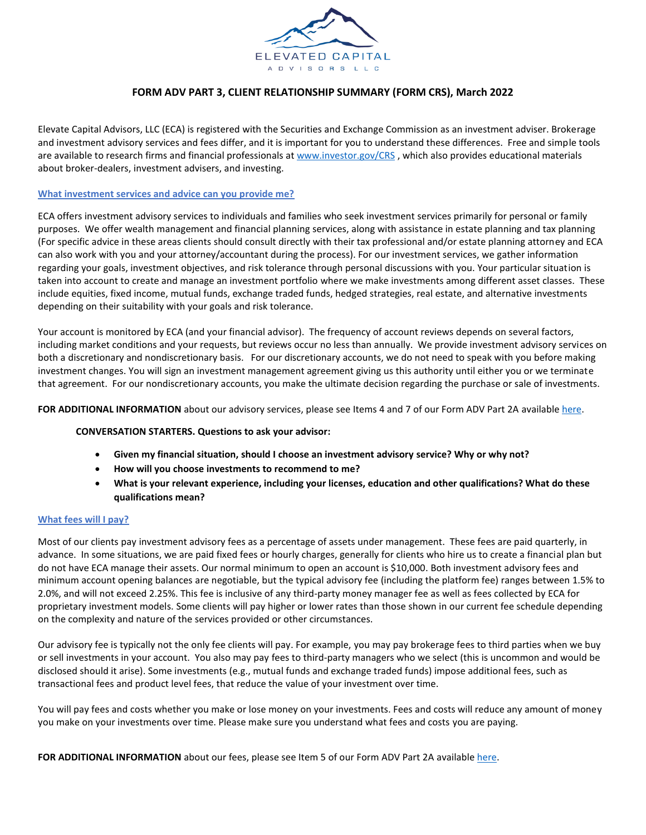

# **FORM ADV PART 3, CLIENT RELATIONSHIP SUMMARY (FORM CRS), March 2022**

Elevate Capital Advisors, LLC (ECA) is registered with the Securities and Exchange Commission as an investment adviser. Brokerage and investment advisory services and fees differ, and it is important for you to understand these differences. Free and simple tools are available to research firms and financial professionals a[t www.investor.gov/CRS](http://www.investor.gov/CRS), which also provides educational materials about broker-dealers, investment advisers, and investing.

#### **What investment services and advice can you provide me?**

ECA offers investment advisory services to individuals and families who seek investment services primarily for personal or family purposes. We offer wealth management and financial planning services, along with assistance in estate planning and tax planning (For specific advice in these areas clients should consult directly with their tax professional and/or estate planning attorney and ECA can also work with you and your attorney/accountant during the process). For our investment services, we gather information regarding your goals, investment objectives, and risk tolerance through personal discussions with you. Your particular situation is taken into account to create and manage an investment portfolio where we make investments among different asset classes. These include equities, fixed income, mutual funds, exchange traded funds, hedged strategies, real estate, and alternative investments depending on their suitability with your goals and risk tolerance.

Your account is monitored by ECA (and your financial advisor). The frequency of account reviews depends on several factors, including market conditions and your requests, but reviews occur no less than annually. We provide investment advisory services on both a discretionary and nondiscretionary basis. For our discretionary accounts, we do not need to speak with you before making investment changes. You will sign an investment management agreement giving us this authority until either you or we terminate that agreement. For our nondiscretionary accounts, you make the ultimate decision regarding the purchase or sale of investments.

FOR ADDITIONAL INFORMATION about our advisory services, please see Items 4 and 7 of our Form ADV Part 2A available here.

### **CONVERSATION STARTERS. Questions to ask your advisor:**

- **Given my financial situation, should I choose an investment advisory service? Why or why not?**
- **How will you choose investments to recommend to me?**
- **What is your relevant experience, including your licenses, education and other qualifications? What do these qualifications mean?**

### **What fees will I pay?**

Most of our clients pay investment advisory fees as a percentage of assets under management. These fees are paid quarterly, in advance. In some situations, we are paid fixed fees or hourly charges, generally for clients who hire us to create a financial plan but do not have ECA manage their assets. Our normal minimum to open an account is \$10,000. Both investment advisory fees and minimum account opening balances are negotiable, but the typical advisory fee (including the platform fee) ranges between 1.5% to 2.0%, and will not exceed 2.25%. This fee is inclusive of any third-party money manager fee as well as fees collected by ECA for proprietary investment models. Some clients will pay higher or lower rates than those shown in our current fee schedule depending on the complexity and nature of the services provided or other circumstances.

Our advisory fee is typically not the only fee clients will pay. For example, you may pay brokerage fees to third parties when we buy or sell investments in your account. You also may pay fees to third-party managers who we select (this is uncommon and would be disclosed should it arise). Some investments (e.g., mutual funds and exchange traded funds) impose additional fees, such as transactional fees and product level fees, that reduce the value of your investment over time.

You will pay fees and costs whether you make or lose money on your investments. Fees and costs will reduce any amount of money you make on your investments over time. Please make sure you understand what fees and costs you are paying.

**FOR ADDITIONAL INFORMATION** about our fees, please see Item 5 of our Form ADV Part 2A availabl[e here.](https://www.elevateyourplanning.com/wp-content/uploads/2020/06/Elevated-Capital-Advisors-Form-ADV-2A-June-2020.pdf)